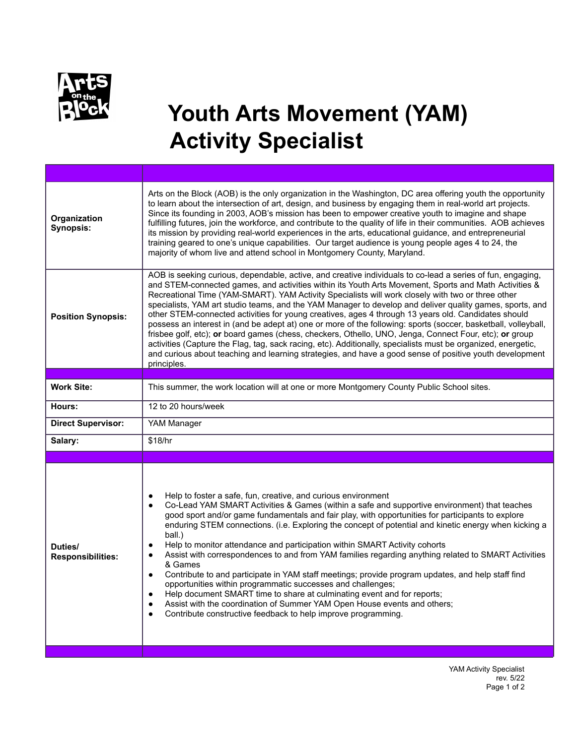

## **Youth Arts Movement (YAM) Activity Specialist**

| Organization<br><b>Synopsis:</b>    | Arts on the Block (AOB) is the only organization in the Washington, DC area offering youth the opportunity<br>to learn about the intersection of art, design, and business by engaging them in real-world art projects.<br>Since its founding in 2003, AOB's mission has been to empower creative youth to imagine and shape<br>fulfilling futures, join the workforce, and contribute to the quality of life in their communities. AOB achieves<br>its mission by providing real-world experiences in the arts, educational guidance, and entrepreneurial<br>training geared to one's unique capabilities. Our target audience is young people ages 4 to 24, the<br>majority of whom live and attend school in Montgomery County, Maryland.                                                                                                                                                                                                                                                                                                                                              |
|-------------------------------------|-------------------------------------------------------------------------------------------------------------------------------------------------------------------------------------------------------------------------------------------------------------------------------------------------------------------------------------------------------------------------------------------------------------------------------------------------------------------------------------------------------------------------------------------------------------------------------------------------------------------------------------------------------------------------------------------------------------------------------------------------------------------------------------------------------------------------------------------------------------------------------------------------------------------------------------------------------------------------------------------------------------------------------------------------------------------------------------------|
| <b>Position Synopsis:</b>           | AOB is seeking curious, dependable, active, and creative individuals to co-lead a series of fun, engaging,<br>and STEM-connected games, and activities within its Youth Arts Movement, Sports and Math Activities &<br>Recreational Time (YAM-SMART). YAM Activity Specialists will work closely with two or three other<br>specialists, YAM art studio teams, and the YAM Manager to develop and deliver quality games, sports, and<br>other STEM-connected activities for young creatives, ages 4 through 13 years old. Candidates should<br>possess an interest in (and be adept at) one or more of the following: sports (soccer, basketball, volleyball,<br>frisbee golf, etc); or board games (chess, checkers, Othello, UNO, Jenga, Connect Four, etc); or group<br>activities (Capture the Flag, tag, sack racing, etc). Additionally, specialists must be organized, energetic,<br>and curious about teaching and learning strategies, and have a good sense of positive youth development<br>principles.                                                                        |
|                                     |                                                                                                                                                                                                                                                                                                                                                                                                                                                                                                                                                                                                                                                                                                                                                                                                                                                                                                                                                                                                                                                                                           |
| <b>Work Site:</b>                   | This summer, the work location will at one or more Montgomery County Public School sites.                                                                                                                                                                                                                                                                                                                                                                                                                                                                                                                                                                                                                                                                                                                                                                                                                                                                                                                                                                                                 |
| Hours:                              | 12 to 20 hours/week                                                                                                                                                                                                                                                                                                                                                                                                                                                                                                                                                                                                                                                                                                                                                                                                                                                                                                                                                                                                                                                                       |
| <b>Direct Supervisor:</b>           | YAM Manager                                                                                                                                                                                                                                                                                                                                                                                                                                                                                                                                                                                                                                                                                                                                                                                                                                                                                                                                                                                                                                                                               |
| Salary:                             | \$18/hr                                                                                                                                                                                                                                                                                                                                                                                                                                                                                                                                                                                                                                                                                                                                                                                                                                                                                                                                                                                                                                                                                   |
|                                     |                                                                                                                                                                                                                                                                                                                                                                                                                                                                                                                                                                                                                                                                                                                                                                                                                                                                                                                                                                                                                                                                                           |
| Duties/<br><b>Responsibilities:</b> | Help to foster a safe, fun, creative, and curious environment<br>$\bullet$<br>Co-Lead YAM SMART Activities & Games (within a safe and supportive environment) that teaches<br>$\bullet$<br>good sport and/or game fundamentals and fair play, with opportunities for participants to explore<br>enduring STEM connections. (i.e. Exploring the concept of potential and kinetic energy when kicking a<br>ball.)<br>Help to monitor attendance and participation within SMART Activity cohorts<br>$\bullet$<br>Assist with correspondences to and from YAM families regarding anything related to SMART Activities<br>$\bullet$<br>& Games<br>Contribute to and participate in YAM staff meetings; provide program updates, and help staff find<br>$\bullet$<br>opportunities within programmatic successes and challenges;<br>Help document SMART time to share at culminating event and for reports;<br>$\bullet$<br>Assist with the coordination of Summer YAM Open House events and others;<br>$\bullet$<br>Contribute constructive feedback to help improve programming.<br>$\bullet$ |

YAM Activity Specialist rev. 5/22 Page 1 of 2